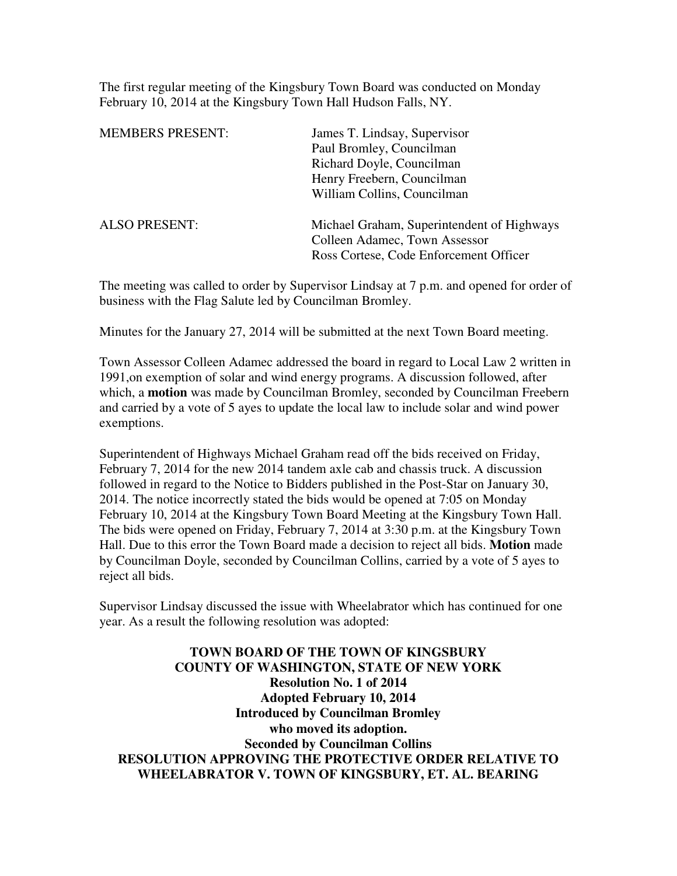The first regular meeting of the Kingsbury Town Board was conducted on Monday February 10, 2014 at the Kingsbury Town Hall Hudson Falls, NY.

| <b>MEMBERS PRESENT:</b> | James T. Lindsay, Supervisor               |
|-------------------------|--------------------------------------------|
|                         | Paul Bromley, Councilman                   |
|                         | Richard Doyle, Councilman                  |
|                         | Henry Freebern, Councilman                 |
|                         | William Collins, Councilman                |
| <b>ALSO PRESENT:</b>    | Michael Graham, Superintendent of Highways |
|                         | Colleen Adamec, Town Assessor              |
|                         | Ross Cortese, Code Enforcement Officer     |
|                         |                                            |

The meeting was called to order by Supervisor Lindsay at 7 p.m. and opened for order of business with the Flag Salute led by Councilman Bromley.

Minutes for the January 27, 2014 will be submitted at the next Town Board meeting.

Town Assessor Colleen Adamec addressed the board in regard to Local Law 2 written in 1991,on exemption of solar and wind energy programs. A discussion followed, after which, a **motion** was made by Councilman Bromley, seconded by Councilman Freebern and carried by a vote of 5 ayes to update the local law to include solar and wind power exemptions.

Superintendent of Highways Michael Graham read off the bids received on Friday, February 7, 2014 for the new 2014 tandem axle cab and chassis truck. A discussion followed in regard to the Notice to Bidders published in the Post-Star on January 30, 2014. The notice incorrectly stated the bids would be opened at 7:05 on Monday February 10, 2014 at the Kingsbury Town Board Meeting at the Kingsbury Town Hall. The bids were opened on Friday, February 7, 2014 at 3:30 p.m. at the Kingsbury Town Hall. Due to this error the Town Board made a decision to reject all bids. **Motion** made by Councilman Doyle, seconded by Councilman Collins, carried by a vote of 5 ayes to reject all bids.

Supervisor Lindsay discussed the issue with Wheelabrator which has continued for one year. As a result the following resolution was adopted:

**TOWN BOARD OF THE TOWN OF KINGSBURY COUNTY OF WASHINGTON, STATE OF NEW YORK Resolution No. 1 of 2014 Adopted February 10, 2014 Introduced by Councilman Bromley who moved its adoption. Seconded by Councilman Collins RESOLUTION APPROVING THE PROTECTIVE ORDER RELATIVE TO WHEELABRATOR V. TOWN OF KINGSBURY, ET. AL. BEARING**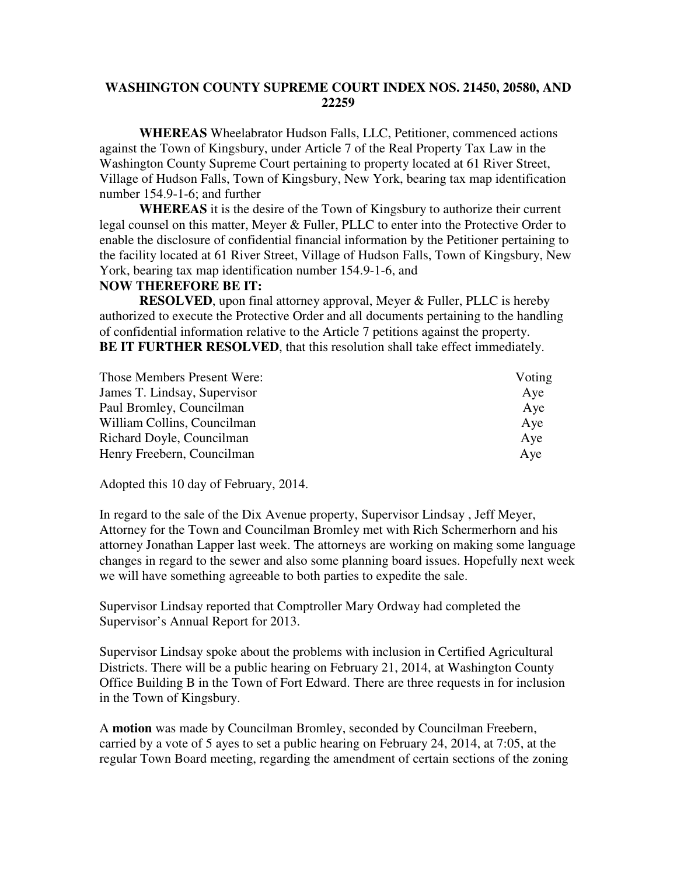## **WASHINGTON COUNTY SUPREME COURT INDEX NOS. 21450, 20580, AND 22259**

**WHEREAS** Wheelabrator Hudson Falls, LLC, Petitioner, commenced actions against the Town of Kingsbury, under Article 7 of the Real Property Tax Law in the Washington County Supreme Court pertaining to property located at 61 River Street, Village of Hudson Falls, Town of Kingsbury, New York, bearing tax map identification number 154.9-1-6; and further

**WHEREAS** it is the desire of the Town of Kingsbury to authorize their current legal counsel on this matter, Meyer & Fuller, PLLC to enter into the Protective Order to enable the disclosure of confidential financial information by the Petitioner pertaining to the facility located at 61 River Street, Village of Hudson Falls, Town of Kingsbury, New York, bearing tax map identification number 154.9-1-6, and

## **NOW THEREFORE BE IT:**

**RESOLVED**, upon final attorney approval, Meyer & Fuller, PLLC is hereby authorized to execute the Protective Order and all documents pertaining to the handling of confidential information relative to the Article 7 petitions against the property. **BE IT FURTHER RESOLVED**, that this resolution shall take effect immediately.

| Those Members Present Were:  | Voting |
|------------------------------|--------|
| James T. Lindsay, Supervisor | Aye    |
| Paul Bromley, Councilman     | Aye    |
| William Collins, Councilman  | Aye    |
| Richard Doyle, Councilman    | Aye    |
| Henry Freebern, Councilman   | Aye    |

Adopted this 10 day of February, 2014.

In regard to the sale of the Dix Avenue property, Supervisor Lindsay , Jeff Meyer, Attorney for the Town and Councilman Bromley met with Rich Schermerhorn and his attorney Jonathan Lapper last week. The attorneys are working on making some language changes in regard to the sewer and also some planning board issues. Hopefully next week we will have something agreeable to both parties to expedite the sale.

Supervisor Lindsay reported that Comptroller Mary Ordway had completed the Supervisor's Annual Report for 2013.

Supervisor Lindsay spoke about the problems with inclusion in Certified Agricultural Districts. There will be a public hearing on February 21, 2014, at Washington County Office Building B in the Town of Fort Edward. There are three requests in for inclusion in the Town of Kingsbury.

A **motion** was made by Councilman Bromley, seconded by Councilman Freebern, carried by a vote of 5 ayes to set a public hearing on February 24, 2014, at 7:05, at the regular Town Board meeting, regarding the amendment of certain sections of the zoning